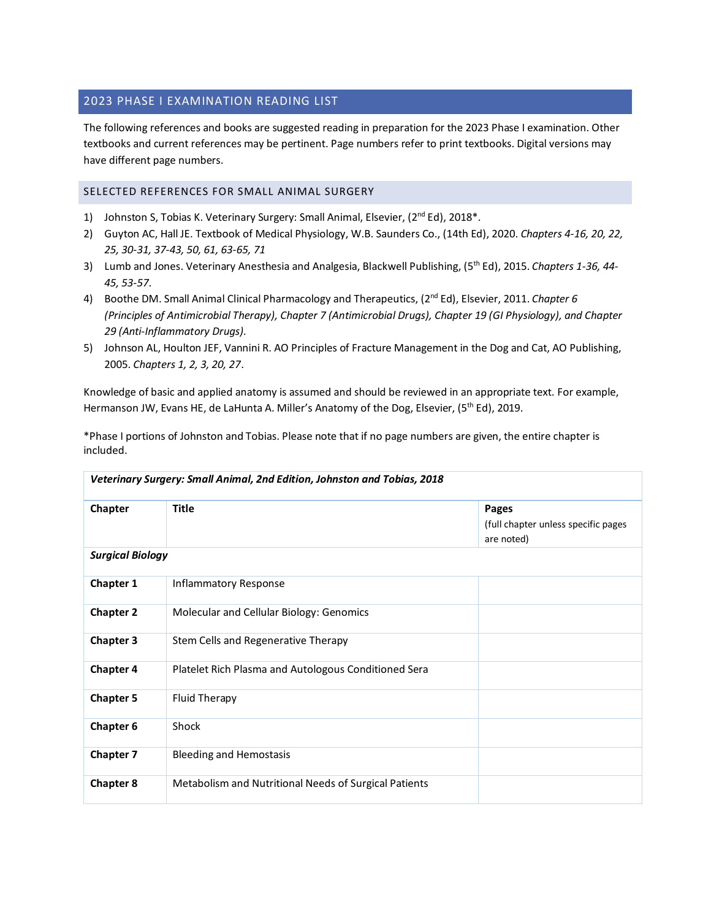## 2023 PHASE I EXAMINATION READING LIST

The following references and books are suggested reading in preparation for the 2023 Phase I examination. Other textbooks and current references may be pertinent. Page numbers refer to print textbooks. Digital versions may have different page numbers.

## SELECTED REFERENCES FOR SMALL ANIMAL SURGERY

- 1) Johnston S, Tobias K. Veterinary Surgery: Small Animal, Elsevier, (2<sup>nd</sup> Ed), 2018<sup>\*</sup>.
- 2) Guyton AC, Hall JE. Textbook of Medical Physiology, W.B. Saunders Co., (14th Ed), 2020. *Chapters 4-16, 20, 22, 25, 30-31, 37-43, 50, 61, 63-65, 71*
- 3) Lumb and Jones. Veterinary Anesthesia and Analgesia, Blackwell Publishing, (5th Ed), 2015. *Chapters 1-36, 44- 45, 53-57*.
- 4) Boothe DM. Small Animal Clinical Pharmacology and Therapeutics, (2nd Ed), Elsevier, 2011. *Chapter 6 (Principles of Antimicrobial Therapy), Chapter 7 (Antimicrobial Drugs), Chapter 19 (GI Physiology), and Chapter 29 (Anti-Inflammatory Drugs).*
- 5) Johnson AL, Houlton JEF, Vannini R. AO Principles of Fracture Management in the Dog and Cat, AO Publishing, 2005. *Chapters 1, 2, 3, 20, 27*.

Knowledge of basic and applied anatomy is assumed and should be reviewed in an appropriate text. For example, Hermanson JW, Evans HE, de LaHunta A. Miller's Anatomy of the Dog, Elsevier, (5<sup>th</sup> Ed), 2019.

| *Phase I portions of Johnston and Tobias. Please note that if no page numbers are given, the entire chapter is |  |
|----------------------------------------------------------------------------------------------------------------|--|
| included.                                                                                                      |  |

| Veterinary Surgery: Small Animal, 2nd Edition, Johnston and Tobias, 2018 |                                                       |                                                            |
|--------------------------------------------------------------------------|-------------------------------------------------------|------------------------------------------------------------|
| Chapter                                                                  | <b>Title</b>                                          | Pages<br>(full chapter unless specific pages<br>are noted) |
| <b>Surgical Biology</b>                                                  |                                                       |                                                            |
| Chapter 1                                                                | Inflammatory Response                                 |                                                            |
| <b>Chapter 2</b>                                                         | Molecular and Cellular Biology: Genomics              |                                                            |
| <b>Chapter 3</b>                                                         | Stem Cells and Regenerative Therapy                   |                                                            |
| <b>Chapter 4</b>                                                         | Platelet Rich Plasma and Autologous Conditioned Sera  |                                                            |
| <b>Chapter 5</b>                                                         | Fluid Therapy                                         |                                                            |
| <b>Chapter 6</b>                                                         | Shock                                                 |                                                            |
| <b>Chapter 7</b>                                                         | <b>Bleeding and Hemostasis</b>                        |                                                            |
| <b>Chapter 8</b>                                                         | Metabolism and Nutritional Needs of Surgical Patients |                                                            |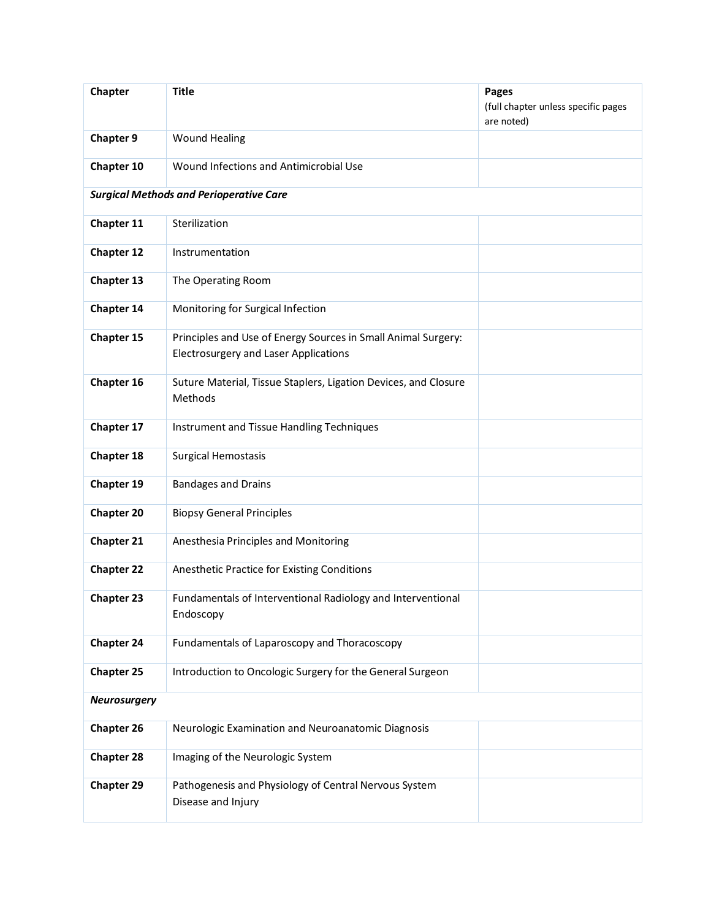| Chapter             | <b>Title</b>                                                                                                  | Pages<br>(full chapter unless specific pages<br>are noted) |
|---------------------|---------------------------------------------------------------------------------------------------------------|------------------------------------------------------------|
| <b>Chapter 9</b>    | <b>Wound Healing</b>                                                                                          |                                                            |
| Chapter 10          | Wound Infections and Antimicrobial Use                                                                        |                                                            |
|                     | <b>Surgical Methods and Perioperative Care</b>                                                                |                                                            |
| Chapter 11          | Sterilization                                                                                                 |                                                            |
| <b>Chapter 12</b>   | Instrumentation                                                                                               |                                                            |
| Chapter 13          | The Operating Room                                                                                            |                                                            |
| Chapter 14          | Monitoring for Surgical Infection                                                                             |                                                            |
| Chapter 15          | Principles and Use of Energy Sources in Small Animal Surgery:<br><b>Electrosurgery and Laser Applications</b> |                                                            |
| Chapter 16          | Suture Material, Tissue Staplers, Ligation Devices, and Closure<br>Methods                                    |                                                            |
| Chapter 17          | Instrument and Tissue Handling Techniques                                                                     |                                                            |
| <b>Chapter 18</b>   | <b>Surgical Hemostasis</b>                                                                                    |                                                            |
| Chapter 19          | <b>Bandages and Drains</b>                                                                                    |                                                            |
| <b>Chapter 20</b>   | <b>Biopsy General Principles</b>                                                                              |                                                            |
| <b>Chapter 21</b>   | Anesthesia Principles and Monitoring                                                                          |                                                            |
| <b>Chapter 22</b>   | Anesthetic Practice for Existing Conditions                                                                   |                                                            |
| <b>Chapter 23</b>   | Fundamentals of Interventional Radiology and Interventional<br>Endoscopy                                      |                                                            |
| <b>Chapter 24</b>   | Fundamentals of Laparoscopy and Thoracoscopy                                                                  |                                                            |
| <b>Chapter 25</b>   | Introduction to Oncologic Surgery for the General Surgeon                                                     |                                                            |
| <b>Neurosurgery</b> |                                                                                                               |                                                            |
| <b>Chapter 26</b>   | Neurologic Examination and Neuroanatomic Diagnosis                                                            |                                                            |
| <b>Chapter 28</b>   | Imaging of the Neurologic System                                                                              |                                                            |
| <b>Chapter 29</b>   | Pathogenesis and Physiology of Central Nervous System<br>Disease and Injury                                   |                                                            |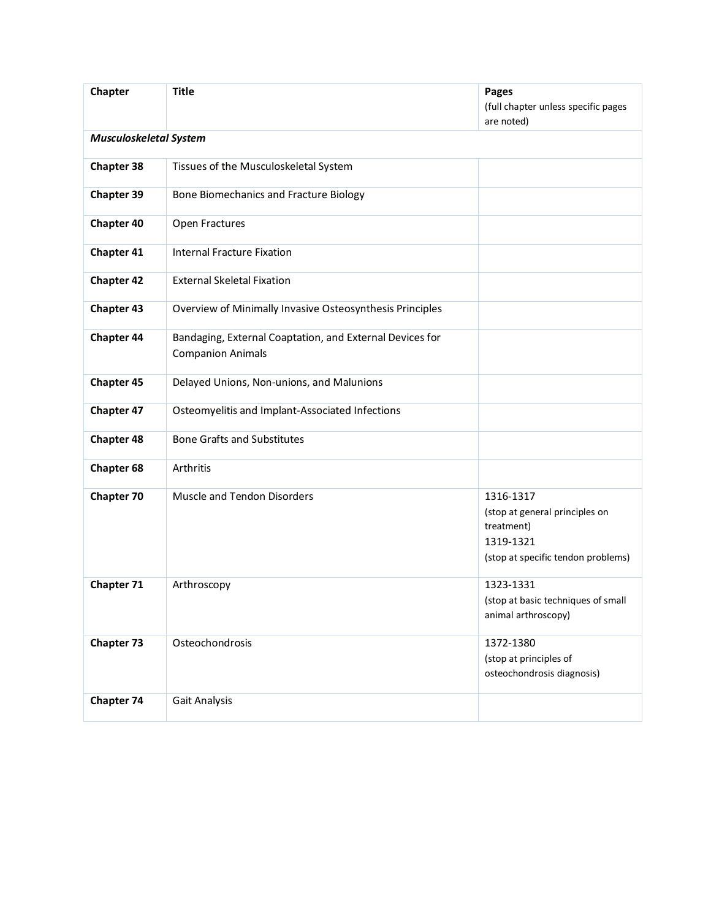| Chapter                       | <b>Title</b>                                                                         | Pages<br>(full chapter unless specific pages<br>are noted)                                                   |
|-------------------------------|--------------------------------------------------------------------------------------|--------------------------------------------------------------------------------------------------------------|
| <b>Musculoskeletal System</b> |                                                                                      |                                                                                                              |
| <b>Chapter 38</b>             | Tissues of the Musculoskeletal System                                                |                                                                                                              |
| <b>Chapter 39</b>             | Bone Biomechanics and Fracture Biology                                               |                                                                                                              |
| <b>Chapter 40</b>             | Open Fractures                                                                       |                                                                                                              |
| <b>Chapter 41</b>             | <b>Internal Fracture Fixation</b>                                                    |                                                                                                              |
| <b>Chapter 42</b>             | <b>External Skeletal Fixation</b>                                                    |                                                                                                              |
| <b>Chapter 43</b>             | Overview of Minimally Invasive Osteosynthesis Principles                             |                                                                                                              |
| <b>Chapter 44</b>             | Bandaging, External Coaptation, and External Devices for<br><b>Companion Animals</b> |                                                                                                              |
| <b>Chapter 45</b>             | Delayed Unions, Non-unions, and Malunions                                            |                                                                                                              |
| <b>Chapter 47</b>             | Osteomyelitis and Implant-Associated Infections                                      |                                                                                                              |
| <b>Chapter 48</b>             | <b>Bone Grafts and Substitutes</b>                                                   |                                                                                                              |
| <b>Chapter 68</b>             | Arthritis                                                                            |                                                                                                              |
| <b>Chapter 70</b>             | Muscle and Tendon Disorders                                                          | 1316-1317<br>(stop at general principles on<br>treatment)<br>1319-1321<br>(stop at specific tendon problems) |
| Chapter 71                    | Arthroscopy                                                                          | 1323-1331<br>(stop at basic techniques of small<br>animal arthroscopy)                                       |
| <b>Chapter 73</b>             | Osteochondrosis                                                                      | 1372-1380<br>(stop at principles of<br>osteochondrosis diagnosis)                                            |
| <b>Chapter 74</b>             | Gait Analysis                                                                        |                                                                                                              |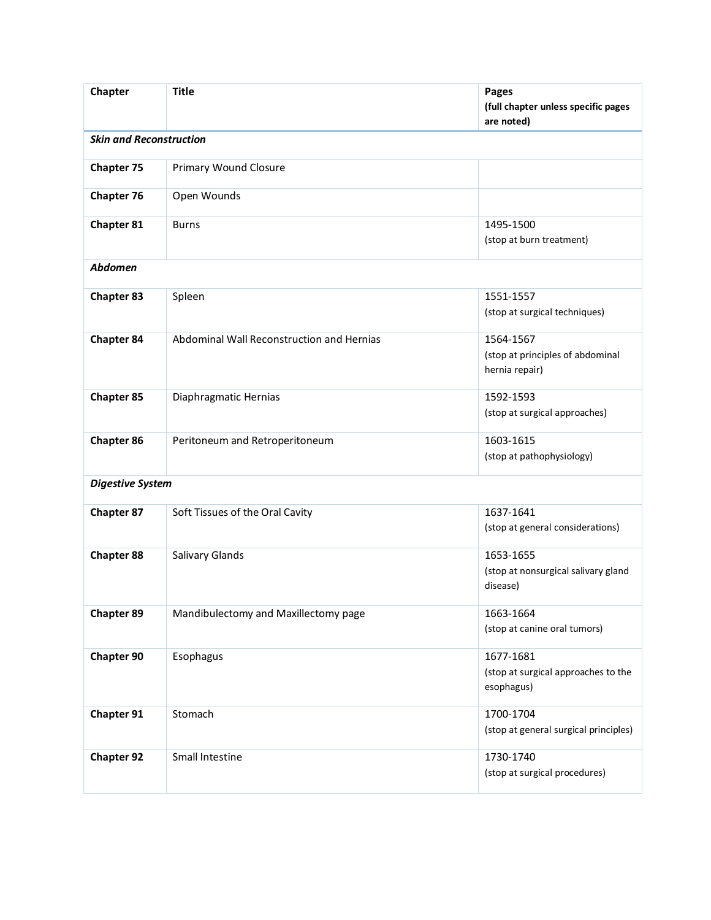| Chapter                        | <b>Title</b>                              | <b>Pages</b><br>(full chapter unless specific pages<br>are noted) |
|--------------------------------|-------------------------------------------|-------------------------------------------------------------------|
| <b>Skin and Reconstruction</b> |                                           |                                                                   |
| <b>Chapter 75</b>              | <b>Primary Wound Closure</b>              |                                                                   |
| <b>Chapter 76</b>              | Open Wounds                               |                                                                   |
| <b>Chapter 81</b>              | <b>Burns</b>                              | 1495-1500<br>(stop at burn treatment)                             |
| <b>Abdomen</b>                 |                                           |                                                                   |
| <b>Chapter 83</b>              | Spleen                                    | 1551-1557<br>(stop at surgical techniques)                        |
| <b>Chapter 84</b>              | Abdominal Wall Reconstruction and Hernias | 1564-1567<br>(stop at principles of abdominal<br>hernia repair)   |
| <b>Chapter 85</b>              | Diaphragmatic Hernias                     | 1592-1593<br>(stop at surgical approaches)                        |
| <b>Chapter 86</b>              | Peritoneum and Retroperitoneum            | 1603-1615<br>(stop at pathophysiology)                            |
| <b>Digestive System</b>        |                                           |                                                                   |
| <b>Chapter 87</b>              | Soft Tissues of the Oral Cavity           | 1637-1641<br>(stop at general considerations)                     |
| <b>Chapter 88</b>              | Salivary Glands                           | 1653-1655<br>(stop at nonsurgical salivary gland<br>disease)      |
| <b>Chapter 89</b>              | Mandibulectomy and Maxillectomy page      | 1663-1664<br>(stop at canine oral tumors)                         |
| <b>Chapter 90</b>              | Esophagus                                 | 1677-1681<br>(stop at surgical approaches to the<br>esophagus)    |
| Chapter 91                     | Stomach                                   | 1700-1704<br>(stop at general surgical principles)                |
| <b>Chapter 92</b>              | Small Intestine                           | 1730-1740<br>(stop at surgical procedures)                        |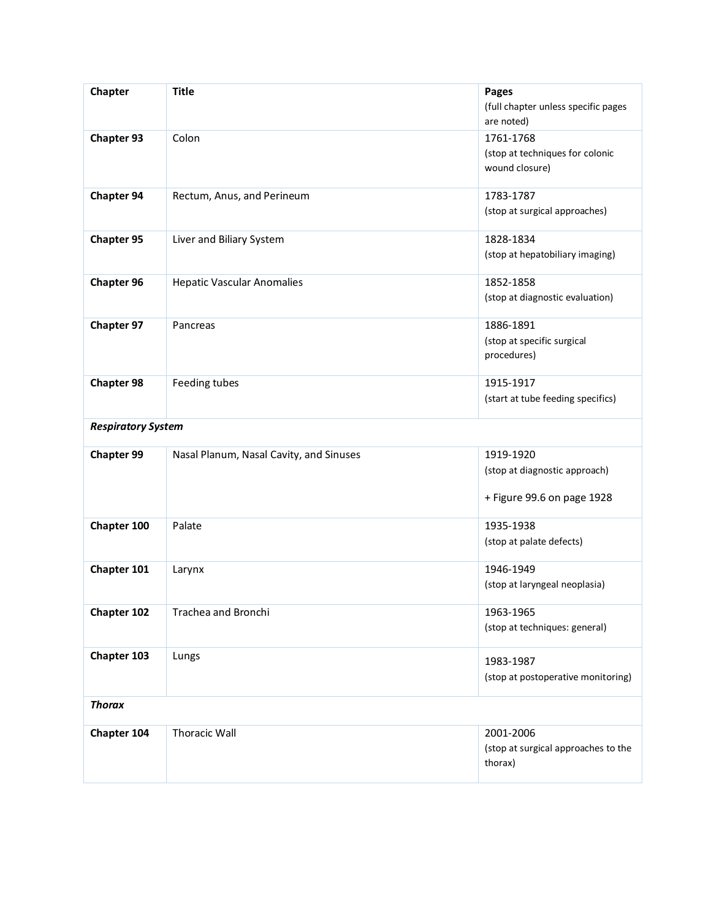| Chapter                   | <b>Title</b>                            | Pages<br>(full chapter unless specific pages<br>are noted)               |
|---------------------------|-----------------------------------------|--------------------------------------------------------------------------|
| <b>Chapter 93</b>         | Colon                                   | 1761-1768<br>(stop at techniques for colonic<br>wound closure)           |
| <b>Chapter 94</b>         | Rectum, Anus, and Perineum              | 1783-1787<br>(stop at surgical approaches)                               |
| <b>Chapter 95</b>         | Liver and Biliary System                | 1828-1834<br>(stop at hepatobiliary imaging)                             |
| <b>Chapter 96</b>         | <b>Hepatic Vascular Anomalies</b>       | 1852-1858<br>(stop at diagnostic evaluation)                             |
| <b>Chapter 97</b>         | Pancreas                                | 1886-1891<br>(stop at specific surgical<br>procedures)                   |
| <b>Chapter 98</b>         | Feeding tubes                           | 1915-1917<br>(start at tube feeding specifics)                           |
| <b>Respiratory System</b> |                                         |                                                                          |
| <b>Chapter 99</b>         | Nasal Planum, Nasal Cavity, and Sinuses | 1919-1920<br>(stop at diagnostic approach)<br>+ Figure 99.6 on page 1928 |
| Chapter 100               | Palate                                  | 1935-1938<br>(stop at palate defects)                                    |
| Chapter 101               | Larynx                                  | 1946-1949<br>(stop at laryngeal neoplasia)                               |
| <b>Chapter 102</b>        | Trachea and Bronchi                     | 1963-1965<br>(stop at techniques: general)                               |
| Chapter 103               | Lungs                                   | 1983-1987<br>(stop at postoperative monitoring)                          |
| <b>Thorax</b>             |                                         |                                                                          |
| Chapter 104               | <b>Thoracic Wall</b>                    | 2001-2006<br>(stop at surgical approaches to the<br>thorax)              |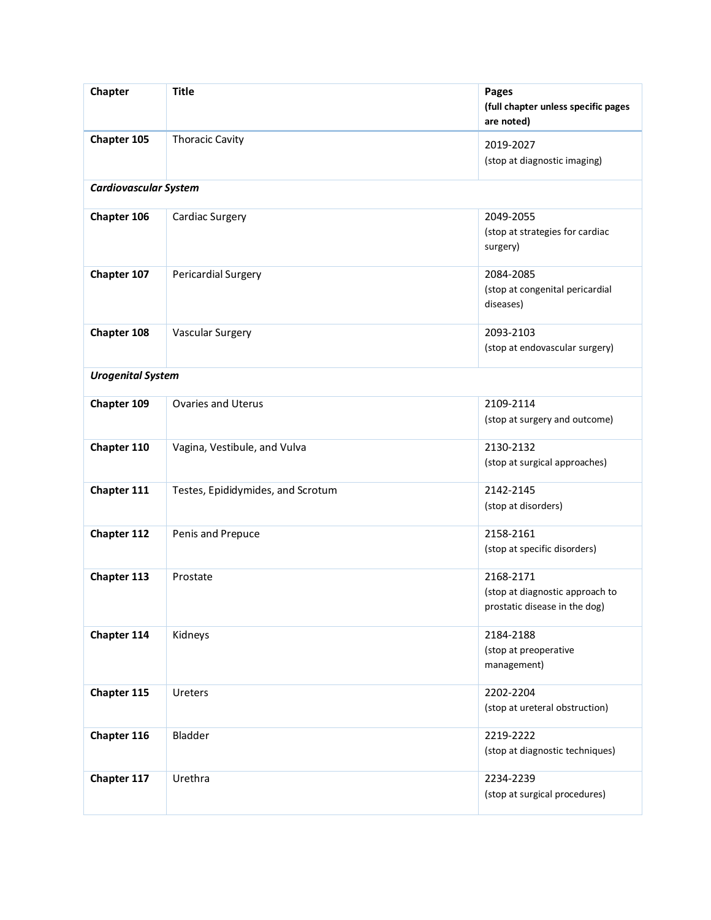| Chapter                      | <b>Title</b>                      | Pages<br>(full chapter unless specific pages<br>are noted)                    |
|------------------------------|-----------------------------------|-------------------------------------------------------------------------------|
| Chapter 105                  | <b>Thoracic Cavity</b>            | 2019-2027<br>(stop at diagnostic imaging)                                     |
| <b>Cardiovascular System</b> |                                   |                                                                               |
| Chapter 106                  | Cardiac Surgery                   | 2049-2055<br>(stop at strategies for cardiac<br>surgery)                      |
| Chapter 107                  | Pericardial Surgery               | 2084-2085<br>(stop at congenital pericardial<br>diseases)                     |
| Chapter 108                  | <b>Vascular Surgery</b>           | 2093-2103<br>(stop at endovascular surgery)                                   |
| <b>Urogenital System</b>     |                                   |                                                                               |
| Chapter 109                  | <b>Ovaries and Uterus</b>         | 2109-2114<br>(stop at surgery and outcome)                                    |
| Chapter 110                  | Vagina, Vestibule, and Vulva      | 2130-2132<br>(stop at surgical approaches)                                    |
| Chapter 111                  | Testes, Epididymides, and Scrotum | 2142-2145<br>(stop at disorders)                                              |
| Chapter 112                  | Penis and Prepuce                 | 2158-2161<br>(stop at specific disorders)                                     |
| Chapter 113                  | Prostate                          | 2168-2171<br>(stop at diagnostic approach to<br>prostatic disease in the dog) |
| Chapter 114                  | Kidneys                           | 2184-2188<br>(stop at preoperative<br>management)                             |
| Chapter 115                  | Ureters                           | 2202-2204<br>(stop at ureteral obstruction)                                   |
| Chapter 116                  | Bladder                           | 2219-2222<br>(stop at diagnostic techniques)                                  |
| Chapter 117                  | Urethra                           | 2234-2239<br>(stop at surgical procedures)                                    |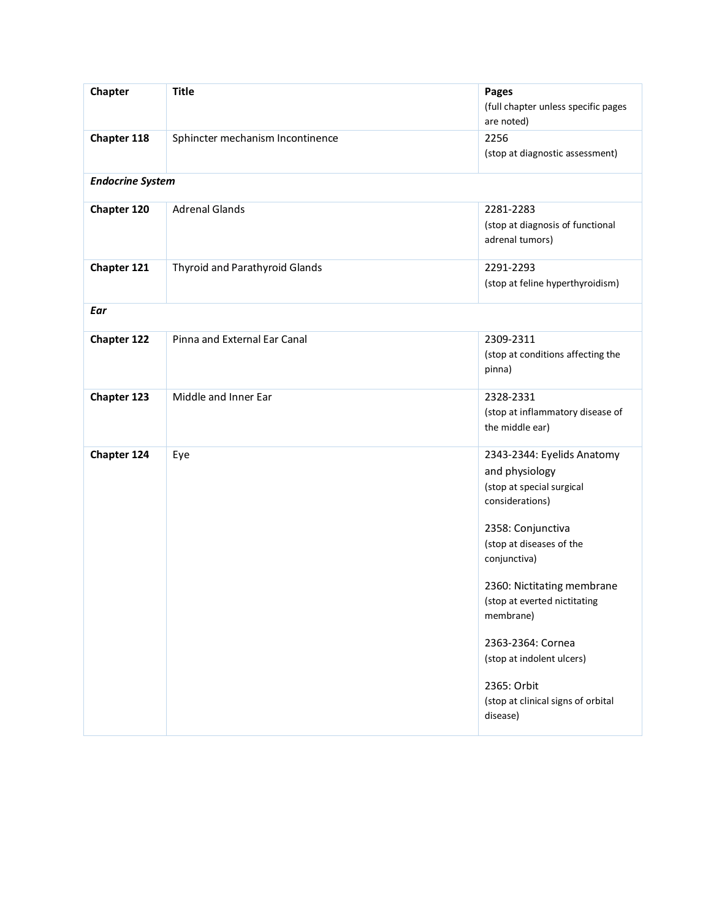| Chapter                 | <b>Title</b>                     | Pages<br>(full chapter unless specific pages<br>are noted)                                                                                                                                                                                                                                                                                                  |
|-------------------------|----------------------------------|-------------------------------------------------------------------------------------------------------------------------------------------------------------------------------------------------------------------------------------------------------------------------------------------------------------------------------------------------------------|
| Chapter 118             | Sphincter mechanism Incontinence | 2256<br>(stop at diagnostic assessment)                                                                                                                                                                                                                                                                                                                     |
| <b>Endocrine System</b> |                                  |                                                                                                                                                                                                                                                                                                                                                             |
| Chapter 120             | <b>Adrenal Glands</b>            | 2281-2283<br>(stop at diagnosis of functional<br>adrenal tumors)                                                                                                                                                                                                                                                                                            |
| Chapter 121             | Thyroid and Parathyroid Glands   | 2291-2293<br>(stop at feline hyperthyroidism)                                                                                                                                                                                                                                                                                                               |
| Ear                     |                                  |                                                                                                                                                                                                                                                                                                                                                             |
| <b>Chapter 122</b>      | Pinna and External Ear Canal     | 2309-2311<br>(stop at conditions affecting the<br>pinna)                                                                                                                                                                                                                                                                                                    |
| Chapter 123             | Middle and Inner Ear             | 2328-2331<br>(stop at inflammatory disease of<br>the middle ear)                                                                                                                                                                                                                                                                                            |
| Chapter 124             | Eye                              | 2343-2344: Eyelids Anatomy<br>and physiology<br>(stop at special surgical<br>considerations)<br>2358: Conjunctiva<br>(stop at diseases of the<br>conjunctiva)<br>2360: Nictitating membrane<br>(stop at everted nictitating<br>membrane)<br>2363-2364: Cornea<br>(stop at indolent ulcers)<br>2365: Orbit<br>(stop at clinical signs of orbital<br>disease) |